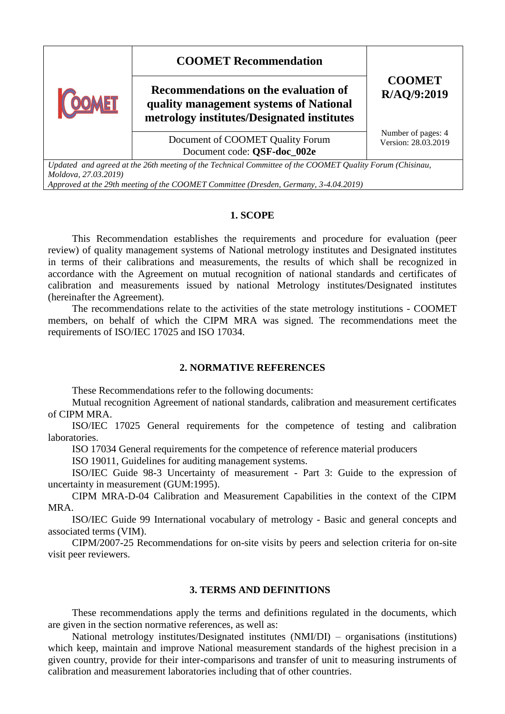| <b>COOMET Recommendation</b><br>Recommendations on the evaluation of<br>quality management systems of National<br>metrology institutes/Designated institutes | <b>COOMET</b><br>R/AQ/9:2019              |
|--------------------------------------------------------------------------------------------------------------------------------------------------------------|-------------------------------------------|
| Document of COOMET Quality Forum<br>Document code: QSF-doc_002e                                                                                              | Number of pages: 4<br>Version: 28.03.2019 |

*Updated and agreed at the 26th meeting of the Technical Committee of the COOMET Quality Forum (Chisinau, Moldova, 27.03.2019)*

*Approved at the 29th meeting of the COOMET Committee (Dresden, Germany, 3-4.04.2019)*

#### **1. SCOPE**

This Recommendation establishes the requirements and procedure for evaluation (peer review) of quality management systems of National metrology institutes and Designated institutes in terms of their calibrations and measurements, the results of which shall be recognized in accordance with the Agreement on mutual recognition of national standards and certificates of calibration and measurements issued by national Metrology institutes/Designated institutes (hereinafter the Agreement).

The recommendations relate to the activities of the state metrology institutions - COOMET members, on behalf of which the CIPM MRA was signed. The recommendations meet the requirements of ISO/IEC 17025 and ISO 17034.

## **2. NORMATIVE REFERENCES**

These Recommendations refer to the following documents:

Mutual recognition Agreement of national standards, calibration and measurement certificates of CIPM MRA.

ISO/IEC 17025 General requirements for the competence of testing and calibration laboratories.

ISO 17034 General requirements for the competence of reference material producers

ISO 19011, Guidelines for auditing management systems.

ISO/IEC Guide 98-3 Uncertainty of measurement - Part 3: Guide to the expression of uncertainty in measurement (GUM:1995).

CIPM MRA-D-04 Calibration and Measurement Capabilities in the context of the CIPM MRA.

ISO/IEC Guide 99 International vocabulary of metrology - Basic and general concepts and associated terms (VIM).

CIPM/2007-25 Recommendations for on-site visits by peers and selection criteria for on-site visit peer reviewers.

#### **3. TERMS AND DEFINITIONS**

These recommendations apply the terms and definitions regulated in the documents, which are given in the section normative references, as well as:

National metrology institutes/Designated institutes (NMI/DI) – organisations (institutions) which keep, maintain and improve National measurement standards of the highest precision in a given country, provide for their inter-comparisons and transfer of unit to measuring instruments of calibration and measurement laboratories including that of other countries.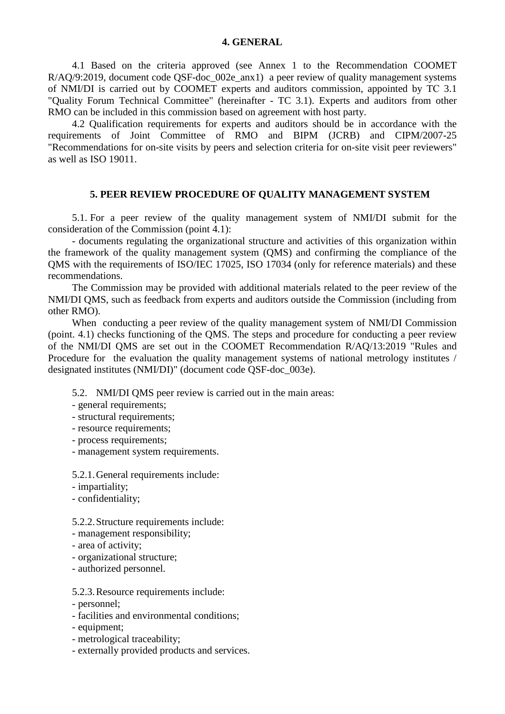#### **4. GENERAL**

4.1 Based on the criteria approved (see Annex 1 to the Recommendation COOMET R/AQ/9:2019, document code QSF-doc\_002e\_anx1) a peer review of quality management systems of NMI/DI is carried out by COOMET experts and auditors commission, appointed by TС 3.1 "Quality Forum Technical Committee" (hereinafter - TC 3.1). Experts and auditors from other RMO can be included in this commission based on agreement with host party.

4.2 Qualification requirements for experts and auditors should be in accordance with the requirements of Joint Committee of RMO and BIPM (JCRB) and CIPM/2007-25 "Recommendations for on-site visits by peers and selection criteria for on-site visit peer reviewers" as well as ISO 19011.

## **5. PEER REVIEW PROCEDURE OF QUALITY MANAGEMENT SYSTEM**

5.1. For a peer review of the quality management system of NMI/DI submit for the consideration of the Commission (point 4.1):

- documents regulating the organizational structure and activities of this organization within the framework of the quality management system (QMS) and confirming the compliance of the QMS with the requirements of ISO/IEC 17025, ISO 17034 (only for reference materials) and these recommendations.

The Commission may be provided with additional materials related to the peer review of the NMI/DI QMS, such as feedback from experts and auditors outside the Commission (including from other RMO).

When conducting a peer review of the quality management system of NMI/DI Commission (point. 4.1) checks functioning of the QMS. The steps and procedure for conducting a peer review of the NMI/DI QMS are set out in the COOMET Recommendation R/AQ/13:2019 "Rules and Procedure for the evaluation the quality management systems of national metrology institutes / designated institutes (NMI/DI)" (document code QSF-doc\_003e).

5.2. NMI/DI QMS peer review is carried out in the main areas:

- general requirements;
- structural requirements;
- resource requirements;
- process requirements;
- management system requirements.

5.2.1.General requirements include:

- impartiality;
- confidentiality;

5.2.2.Structure requirements include:

- management responsibility;
- area of activity;
- organizational structure;
- authorized personnel.

#### 5.2.3.Resource requirements include:

- personnel;
- facilities and environmental conditions;
- equipment;
- metrological traceability;
- externally provided products and services.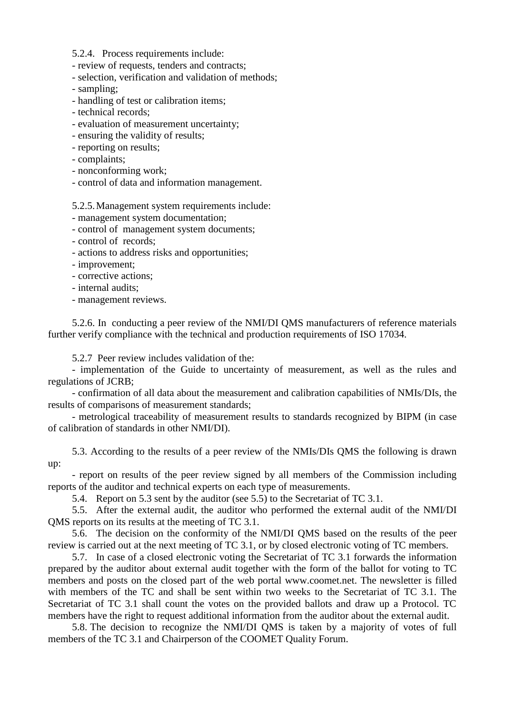5.2.4. Process requirements include:

- review of requests, tenders and contracts;

- selection, verification and validation of methods;

- sampling;

- handling of test or calibration items;

- technical records;

- evaluation of measurement uncertainty;

- ensuring the validity of results;

- reporting on results;

- complaints;

- nonconforming work;

- control of data and information management.

5.2.5.Management system requirements include:

- management system documentation;

- control of management system documents;

- control of records;

- actions to address risks and opportunities;

- improvement;

- corrective actions;

- internal audits;

- management reviews.

5.2.6. In conducting a peer review of the NMI/DI QMS manufacturers of reference materials further verify compliance with the technical and production requirements of ISO 17034.

5.2.7 Peer review includes validation of the:

- implementation of the Guide to uncertainty of measurement, as well as the rules and regulations of JCRB;

- confirmation of all data about the measurement and calibration capabilities of NMIs/DIs, the results of comparisons of measurement standards;

- metrological traceability of measurement results to standards recognized by BIPM (in case of calibration of standards in other NMI/DI).

5.3. According to the results of a peer review of the NMIs/DIs QMS the following is drawn up:

- report on results of the peer review signed by all members of the Commission including reports of the auditor and technical experts on each type of measurements.

5.4. Report on 5.3 sent by the auditor (see 5.5) to the Secretariat of TC 3.1.

5.5. After the external audit, the auditor who performed the external audit of the NMI/DI QMS reports on its results at the meeting of TC 3.1.

5.6. The decision on the conformity of the NMI/DI QMS based on the results of the peer review is carried out at the next meeting of TC 3.1, or by closed electronic voting of TC members.

5.7. In case of a closed electronic voting the Secretariat of TC 3.1 forwards the information prepared by the auditor about external audit together with the form of the ballot for voting to TC members and posts on the closed part of the web portal www.coomet.net. The newsletter is filled with members of the TC and shall be sent within two weeks to the Secretariat of TC 3.1. The Secretariat of TC 3.1 shall count the votes on the provided ballots and draw up a Protocol. TC members have the right to request additional information from the auditor about the external audit.

5.8. The decision to recognize the NMI/DI QMS is taken by a majority of votes of full members of the TC 3.1 and Chairperson of the COOMET Quality Forum.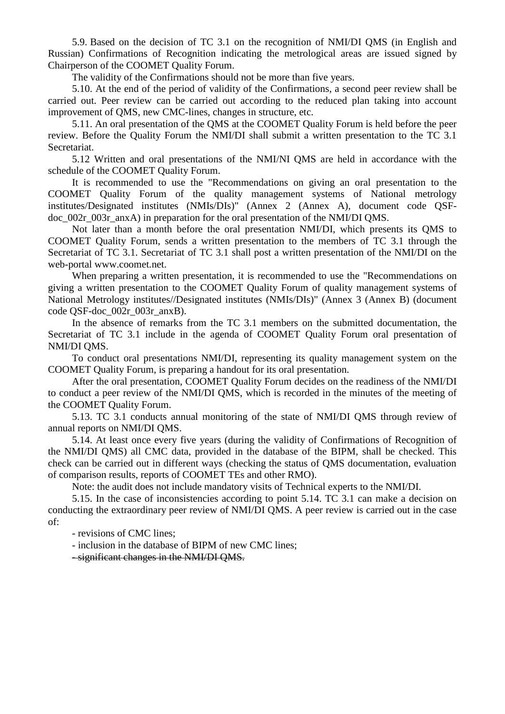5.9. Based on the decision of TC 3.1 on the recognition of NMI/DI QMS (in English and Russian) Confirmations of Recognition indicating the metrological areas are issued signed by Chairperson of the COOMET Quality Forum.

The validity of the Confirmations should not be more than five years.

5.10. At the end of the period of validity of the Confirmations, a second peer review shall be carried out. Peer review can be carried out according to the reduced plan taking into account improvement of QMS, new CMC-lines, changes in structure, etc.

5.11. An oral presentation of the QMS at the COOMET Quality Forum is held before the peer review. Before the Quality Forum the NMI/DI shall submit a written presentation to the TC 3.1 Secretariat.

5.12 Written and oral presentations of the NMI/NI QMS are held in accordance with the schedule of the COOMET Quality Forum.

It is recommended to use the "Recommendations on giving an oral presentation to the COOMET Quality Forum of the quality management systems of National metrology institutes/Designated institutes (NMIs/DIs)" (Annex 2 (Annex A), document code QSFdoc 002r 003r anxA) in preparation for the oral presentation of the NMI/DI QMS.

Not later than a month before the oral presentation NMI/DI, which presents its QMS to COOMET Quality Forum, sends a written presentation to the members of TC 3.1 through the Secretariat of TC 3.1. Secretariat of TC 3.1 shall post a written presentation of the NMI/DI on the web-portal www.coomet.net.

When preparing a written presentation, it is recommended to use the "Recommendations on giving a written presentation to the COOMET Quality Forum of quality management systems of National Metrology institutes//Designated institutes (NMIs/DIs)" (Annex 3 (Annex B) (document code QSF-doc\_002r\_003r\_anxB).

In the absence of remarks from the TC 3.1 members on the submitted documentation, the Secretariat of TC 3.1 include in the agenda of COOMET Quality Forum oral presentation of NMI/DI QMS.

To conduct oral presentations NMI/DI, representing its quality management system on the COOMET Quality Forum, is preparing a handout for its oral presentation.

After the oral presentation, COOMET Quality Forum decides on the readiness of the NMI/DI to conduct a peer review of the NMI/DI QMS, which is recorded in the minutes of the meeting of the COOMET Quality Forum.

5.13. TC 3.1 conducts annual monitoring of the state of NMI/DI QMS through review of annual reports on NMI/DI QMS.

5.14. At least once every five years (during the validity of Confirmations of Recognition of the NMI/DI QMS) all CMC data, provided in the database of the BIPM, shall be checked. This check can be carried out in different ways (checking the status of QMS documentation, evaluation of comparison results, reports of COOMET TEs and other RMO).

Note: the audit does not include mandatory visits of Technical experts to the NMI/DI.

5.15. In the case of inconsistencies according to point 5.14. TC 3.1 can make a decision on conducting the extraordinary peer review of NMI/DI QMS. A peer review is carried out in the case of:

- revisions of CMC lines;

- inclusion in the database of BIPM of new CMC lines;

- significant changes in the NMI/DI QMS.